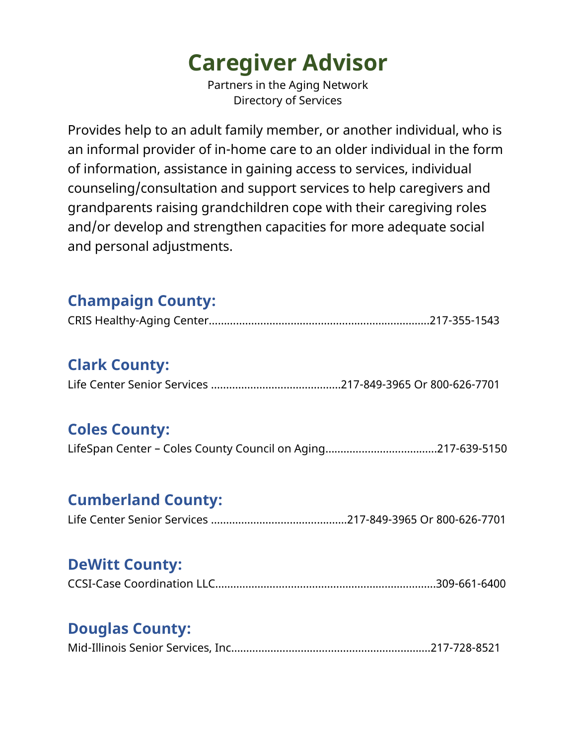# **Caregiver Advisor**

Partners in the Aging Network Directory of Services

Provides help to an adult family member, or another individual, who is an informal provider of in-home care to an older individual in the form of information, assistance in gaining access to services, individual counseling/consultation and support services to help caregivers and grandparents raising grandchildren cope with their caregiving roles and/or develop and strengthen capacities for more adequate social and personal adjustments.

## **Champaign County:**

|--|--|

## **Clark County:**

|--|--|--|

#### **Coles County:**

|--|--|--|

#### **Cumberland County:**

|--|--|

#### **DeWitt County:**

|--|--|

## **Douglas County:**

|--|--|--|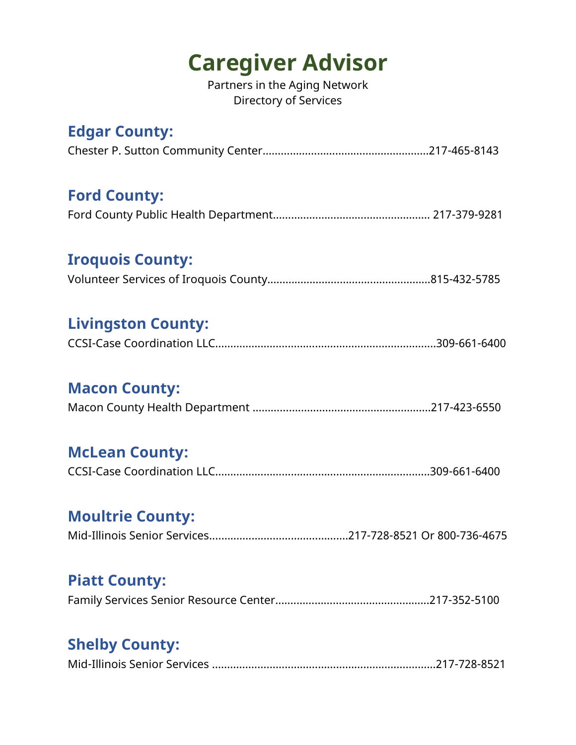## **Caregiver Advisor**

Partners in the Aging Network Directory of Services

## **Edgar County:**

#### **Ford County:**

#### **Iroquois County:**

## **Livingston County:**

|--|--|--|--|

#### **Macon County:**

#### **McLean County:**

## **Moultrie County:**

|--|--|--|--|

#### **Piatt County:**

## **Shelby County:**

|--|--|